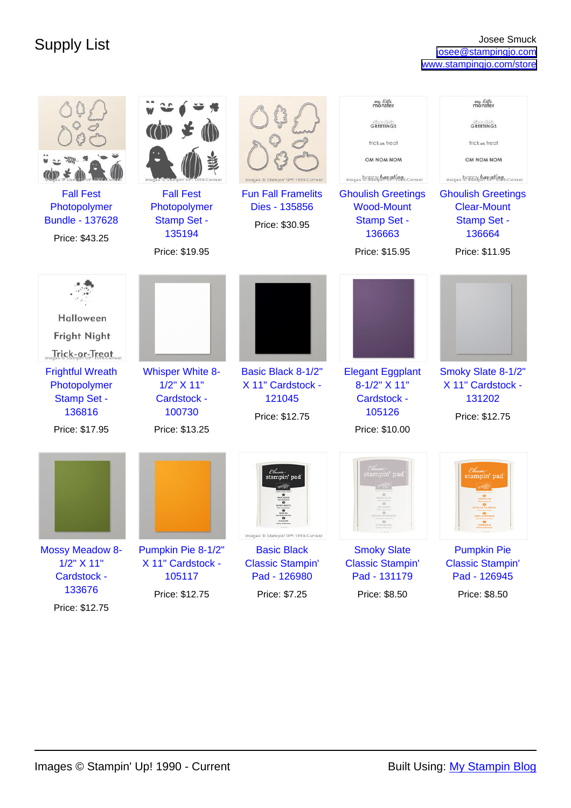| <b>Fall Fest</b><br>Photopolymer                                                       | <b>Fall Fest</b><br>Photopolymer                                    | Images ® Stampin' UP! 1990-Current<br><b>Fun Fall Framelits</b><br>Dies - 135856 | my little<br>monster<br><b>Choulish</b><br>GREETINGS<br>trick at treat<br>OM NOM NOM<br>Images BORRY haunting o-Current<br><b>Ghoulish Greetings</b><br><b>Wood-Mount</b> | my little<br>monster<br><b>Choulish</b><br>GREETINGS<br>trick at treat<br>OM NOM NOM<br>Images BORRY haupting o-current<br><b>Ghoulish Greetings</b><br><b>Clear-Mount</b> |
|----------------------------------------------------------------------------------------|---------------------------------------------------------------------|----------------------------------------------------------------------------------|---------------------------------------------------------------------------------------------------------------------------------------------------------------------------|----------------------------------------------------------------------------------------------------------------------------------------------------------------------------|
| <b>Bundle - 137628</b><br>Price: \$43.25                                               | <b>Stamp Set -</b><br>135194<br>Price: \$19.95                      | Price: \$30.95                                                                   | <b>Stamp Set -</b><br>136663<br>Price: \$15.95                                                                                                                            | <b>Stamp Set -</b><br>136664<br>Price: \$11.95                                                                                                                             |
| Halloween<br>Fright Night<br>Trick-or-Treat<br><b>Frightful Wreath</b><br>Photopolymer | <b>Whisper White 8-</b><br>1/2" X 11"                               | Basic Black 8-1/2"<br>X 11" Cardstock -                                          | <b>Elegant Eggplant</b><br>8-1/2" X 11"                                                                                                                                   | Smoky Slate 8-1/2"<br>X 11" Cardstock -                                                                                                                                    |
| <b>Stamp Set -</b><br>136816<br>Price: \$17.95                                         | Cardstock -<br>100730<br>Price: \$13.25                             | 121045<br>Price: \$12.75                                                         | Cardstock -<br>105126<br>Price: \$10.00                                                                                                                                   | 131202<br>Price: \$12.75                                                                                                                                                   |
|                                                                                        |                                                                     | Classi<br>stampin' pad<br>Images ® Stampin' UP! 1990-Current                     | stampin' pad                                                                                                                                                              | stampin' pad                                                                                                                                                               |
| <b>Mossy Meadow 8-</b><br>1/2" X 11"<br>Cardstock -<br>133676                          | Pumpkin Pie 8-1/2"<br>X 11" Cardstock -<br>105117<br>Price: \$12.75 | <b>Basic Black</b><br><b>Classic Stampin'</b><br>Pad - 126980<br>Price: \$7.25   | <b>Smoky Slate</b><br><b>Classic Stampin'</b><br>Pad - 131179<br>Price: \$8.50                                                                                            | <b>Pumpkin Pie</b><br><b>Classic Stampin'</b><br>Pad - 126945<br>Price: \$8.50                                                                                             |
| Price: \$12.75                                                                         |                                                                     |                                                                                  |                                                                                                                                                                           |                                                                                                                                                                            |